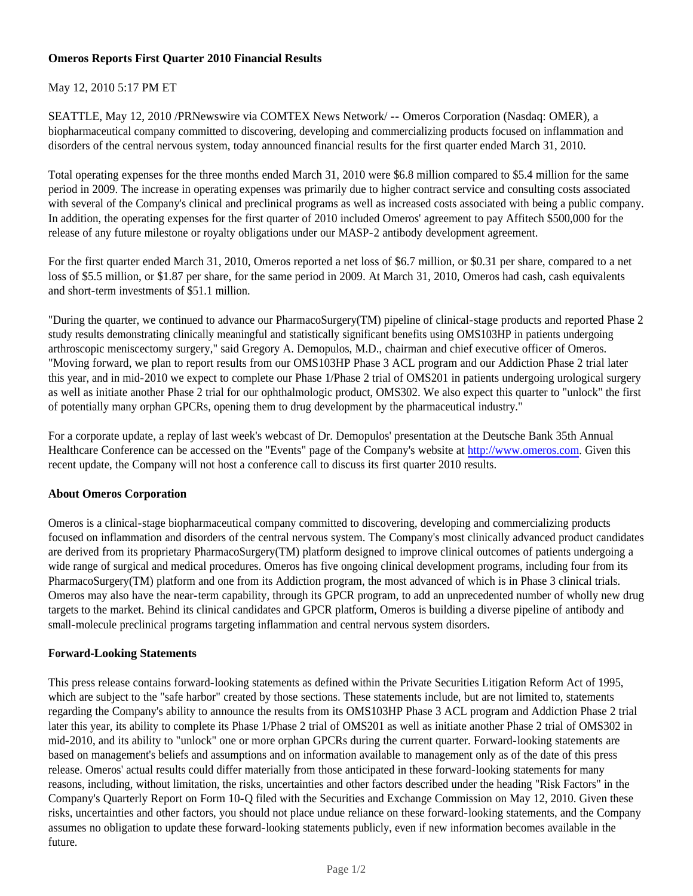### **Omeros Reports First Quarter 2010 Financial Results**

## May 12, 2010 5:17 PM ET

SEATTLE, May 12, 2010 /PRNewswire via COMTEX News Network/ -- Omeros Corporation (Nasdaq: OMER), a biopharmaceutical company committed to discovering, developing and commercializing products focused on inflammation and disorders of the central nervous system, today announced financial results for the first quarter ended March 31, 2010.

Total operating expenses for the three months ended March 31, 2010 were \$6.8 million compared to \$5.4 million for the same period in 2009. The increase in operating expenses was primarily due to higher contract service and consulting costs associated with several of the Company's clinical and preclinical programs as well as increased costs associated with being a public company. In addition, the operating expenses for the first quarter of 2010 included Omeros' agreement to pay Affitech \$500,000 for the release of any future milestone or royalty obligations under our MASP-2 antibody development agreement.

For the first quarter ended March 31, 2010, Omeros reported a net loss of \$6.7 million, or \$0.31 per share, compared to a net loss of \$5.5 million, or \$1.87 per share, for the same period in 2009. At March 31, 2010, Omeros had cash, cash equivalents and short-term investments of \$51.1 million.

"During the quarter, we continued to advance our PharmacoSurgery(TM) pipeline of clinical-stage products and reported Phase 2 study results demonstrating clinically meaningful and statistically significant benefits using OMS103HP in patients undergoing arthroscopic meniscectomy surgery," said Gregory A. Demopulos, M.D., chairman and chief executive officer of Omeros. "Moving forward, we plan to report results from our OMS103HP Phase 3 ACL program and our Addiction Phase 2 trial later this year, and in mid-2010 we expect to complete our Phase 1/Phase 2 trial of OMS201 in patients undergoing urological surgery as well as initiate another Phase 2 trial for our ophthalmologic product, OMS302. We also expect this quarter to "unlock" the first of potentially many orphan GPCRs, opening them to drug development by the pharmaceutical industry."

For a corporate update, a replay of last week's webcast of Dr. Demopulos' presentation at the Deutsche Bank 35th Annual Healthcare Conference can be accessed on the "Events" page of the Company's website at http://www.omeros.com. Given this recent update, the Company will not host a conference call to discuss its first quarter 2010 results.

### **About Omeros Corporation**

Omeros is a clinical-stage biopharmaceutical company committed to discovering, developing and commercializing products focused on inflammation and disorders of the central nervous system. The Company's most clinically advanced product candidates are derived from its proprietary PharmacoSurgery(TM) platform designed to improve clinical outcomes of patients undergoing a wide range of surgical and medical procedures. Omeros has five ongoing clinical development programs, including four from its PharmacoSurgery(TM) platform and one from its Addiction program, the most advanced of which is in Phase 3 clinical trials. Omeros may also have the near-term capability, through its GPCR program, to add an unprecedented number of wholly new drug targets to the market. Behind its clinical candidates and GPCR platform, Omeros is building a diverse pipeline of antibody and small-molecule preclinical programs targeting inflammation and central nervous system disorders.

## **Forward-Looking Statements**

This press release contains forward-looking statements as defined within the Private Securities Litigation Reform Act of 1995, which are subject to the "safe harbor" created by those sections. These statements include, but are not limited to, statements regarding the Company's ability to announce the results from its OMS103HP Phase 3 ACL program and Addiction Phase 2 trial later this year, its ability to complete its Phase 1/Phase 2 trial of OMS201 as well as initiate another Phase 2 trial of OMS302 in mid-2010, and its ability to "unlock" one or more orphan GPCRs during the current quarter. Forward-looking statements are based on management's beliefs and assumptions and on information available to management only as of the date of this press release. Omeros' actual results could differ materially from those anticipated in these forward-looking statements for many reasons, including, without limitation, the risks, uncertainties and other factors described under the heading "Risk Factors" in the Company's Quarterly Report on Form 10-Q filed with the Securities and Exchange Commission on May 12, 2010. Given these risks, uncertainties and other factors, you should not place undue reliance on these forward-looking statements, and the Company assumes no obligation to update these forward-looking statements publicly, even if new information becomes available in the future.